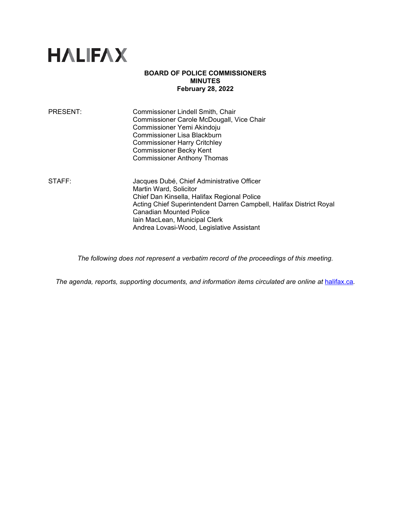

# **BOARD OF POLICE COMMISSIONERS MINUTES February 28, 2022**

| PRESENT: | Commissioner Lindell Smith, Chair         |
|----------|-------------------------------------------|
|          | Commissioner Carole McDougall, Vice Chair |
|          | Commissioner Yemi Akindoju                |
|          | Commissioner Lisa Blackburn               |
|          | <b>Commissioner Harry Critchley</b>       |
|          | <b>Commissioner Becky Kent</b>            |
|          | <b>Commissioner Anthony Thomas</b>        |
|          |                                           |

STAFF: Jacques Dubé, Chief Administrative Officer Martin Ward, Solicitor Chief Dan Kinsella, Halifax Regional Police Acting Chief Superintendent Darren Campbell, Halifax District Royal Canadian Mounted Police Iain MacLean, Municipal Clerk Andrea Lovasi-Wood, Legislative Assistant

*The following does not represent a verbatim record of the proceedings of this meeting.*

The agenda, reports, supporting documents, and information items circulated are online at [halifax.ca](http://www.halifax.ca/).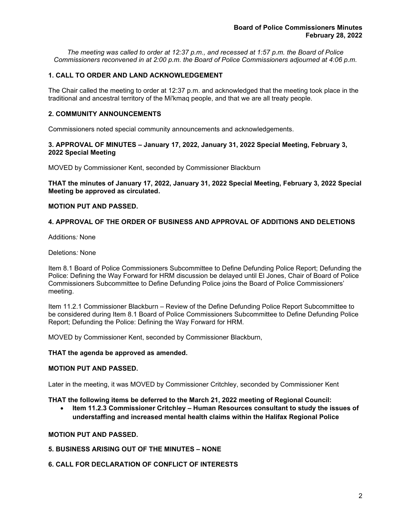*The meeting was called to order at 12:37 p.m., and recessed at 1:57 p.m. the Board of Police Commissioners reconvened in at 2:00 p.m. the Board of Police Commissioners adjourned at 4:06 p.m.*

# **1. CALL TO ORDER AND LAND ACKNOWLEDGEMENT**

The Chair called the meeting to order at 12:37 p.m. and acknowledged that the meeting took place in the traditional and ancestral territory of the Mi'kmaq people, and that we are all treaty people.

# **2. COMMUNITY ANNOUNCEMENTS**

Commissioners noted special community announcements and acknowledgements.

# **3. APPROVAL OF MINUTES – January 17, 2022, January 31, 2022 Special Meeting, February 3, 2022 Special Meeting**

MOVED by Commissioner Kent, seconded by Commissioner Blackburn

**THAT the minutes of January 17, 2022, January 31, 2022 Special Meeting, February 3, 2022 Special Meeting be approved as circulated.**

# **MOTION PUT AND PASSED.**

# **4. APPROVAL OF THE ORDER OF BUSINESS AND APPROVAL OF ADDITIONS AND DELETIONS**

Additions*:* None

#### Deletions*:* None

Item 8.1 Board of Police Commissioners Subcommittee to Define Defunding Police Report; Defunding the Police: Defining the Way Forward for HRM discussion be delayed until El Jones, Chair of Board of Police Commissioners Subcommittee to Define Defunding Police joins the Board of Police Commissioners' meeting.

Item 11.2.1 Commissioner Blackburn – Review of the Define Defunding Police Report Subcommittee to be considered during Item 8.1 Board of Police Commissioners Subcommittee to Define Defunding Police Report; Defunding the Police: Defining the Way Forward for HRM.

MOVED by Commissioner Kent, seconded by Commissioner Blackburn,

#### **THAT the agenda be approved as amended.**

# **MOTION PUT AND PASSED.**

Later in the meeting, it was MOVED by Commissioner Critchley, seconded by Commissioner Kent

**THAT the following items be deferred to the March 21, 2022 meeting of Regional Council:**

• **Item 11.2.3 Commissioner Critchley – Human Resources consultant to study the issues of understaffing and increased mental health claims within the Halifax Regional Police**

# **MOTION PUT AND PASSED.**

# **5. BUSINESS ARISING OUT OF THE MINUTES – NONE**

# **6. CALL FOR DECLARATION OF CONFLICT OF INTERESTS**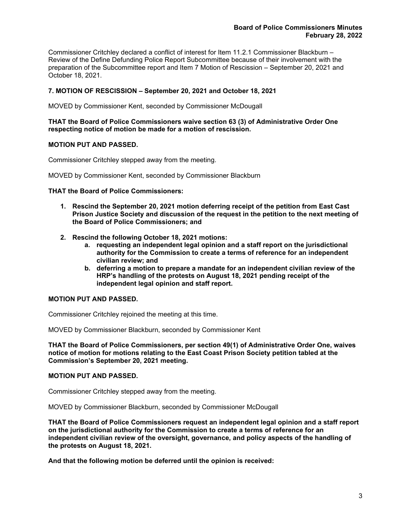Commissioner Critchley declared a conflict of interest for Item 11.2.1 Commissioner Blackburn – Review of the Define Defunding Police Report Subcommittee because of their involvement with the preparation of the Subcommittee report and Item 7 Motion of Rescission – September 20, 2021 and October 18, 2021.

# **7. MOTION OF RESCISSION – September 20, 2021 and October 18, 2021**

MOVED by Commissioner Kent, seconded by Commissioner McDougall

# **THAT the Board of Police Commissioners waive section 63 (3) of Administrative Order One respecting notice of motion be made for a motion of rescission.**

# **MOTION PUT AND PASSED.**

Commissioner Critchley stepped away from the meeting.

MOVED by Commissioner Kent, seconded by Commissioner Blackburn

# **THAT the Board of Police Commissioners:**

- **1. Rescind the September 20, 2021 motion deferring receipt of the petition from East Cast Prison Justice Society and discussion of the request in the petition to the next meeting of the Board of Police Commissioners; and**
- **2. Rescind the following October 18, 2021 motions:**
	- **a. requesting an independent legal opinion and a staff report on the jurisdictional authority for the Commission to create a terms of reference for an independent civilian review; and**
	- **b. deferring a motion to prepare a mandate for an independent civilian review of the HRP's handling of the protests on August 18, 2021 pending receipt of the independent legal opinion and staff report.**

# **MOTION PUT AND PASSED.**

Commissioner Critchley rejoined the meeting at this time.

MOVED by Commissioner Blackburn, seconded by Commissioner Kent

**THAT the Board of Police Commissioners, per section 49(1) of Administrative Order One, waives notice of motion for motions relating to the East Coast Prison Society petition tabled at the Commission's September 20, 2021 meeting.**

# **MOTION PUT AND PASSED.**

Commissioner Critchley stepped away from the meeting.

MOVED by Commissioner Blackburn, seconded by Commissioner McDougall

**THAT the Board of Police Commissioners request an independent legal opinion and a staff report on the jurisdictional authority for the Commission to create a terms of reference for an independent civilian review of the oversight, governance, and policy aspects of the handling of the protests on August 18, 2021.**

**And that the following motion be deferred until the opinion is received:**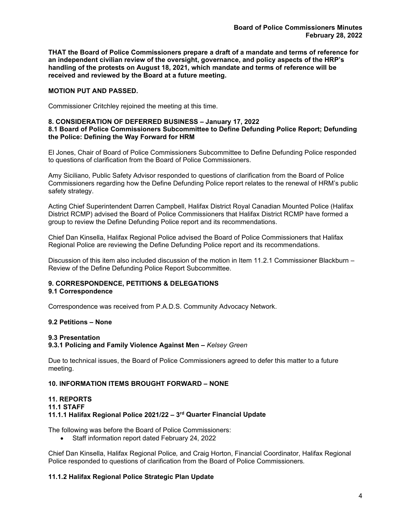**THAT the Board of Police Commissioners prepare a draft of a mandate and terms of reference for an independent civilian review of the oversight, governance, and policy aspects of the HRP's handling of the protests on August 18, 2021, which mandate and terms of reference will be received and reviewed by the Board at a future meeting.**

# **MOTION PUT AND PASSED.**

Commissioner Critchley rejoined the meeting at this time.

# **8. CONSIDERATION OF DEFERRED BUSINESS – January 17, 2022**

# **8.1 Board of Police Commissioners Subcommittee to Define Defunding Police Report; Defunding the Police: Defining the Way Forward for HRM**

El Jones, Chair of Board of Police Commissioners Subcommittee to Define Defunding Police responded to questions of clarification from the Board of Police Commissioners.

Amy Siciliano, Public Safety Advisor responded to questions of clarification from the Board of Police Commissioners regarding how the Define Defunding Police report relates to the renewal of HRM's public safety strategy.

Acting Chief Superintendent Darren Campbell, Halifax District Royal Canadian Mounted Police (Halifax District RCMP) advised the Board of Police Commissioners that Halifax District RCMP have formed a group to review the Define Defunding Police report and its recommendations.

Chief Dan Kinsella, Halifax Regional Police advised the Board of Police Commissioners that Halifax Regional Police are reviewing the Define Defunding Police report and its recommendations.

Discussion of this item also included discussion of the motion in Item 11.2.1 Commissioner Blackburn – Review of the Define Defunding Police Report Subcommittee.

# **9. CORRESPONDENCE, PETITIONS & DELEGATIONS**

# **9.1 Correspondence**

Correspondence was received from P.A.D.S. Community Advocacy Network.

# **9.2 Petitions – None**

# **9.3 Presentation**

**9.3.1 Policing and Family Violence Against Men –** *Kelsey Green*

Due to technical issues, the Board of Police Commissioners agreed to defer this matter to a future meeting.

# **10. INFORMATION ITEMS BROUGHT FORWARD – NONE**

# **11. REPORTS 11.1 STAFF 11.1.1 Halifax Regional Police 2021/22 – 3rd Quarter Financial Update**

The following was before the Board of Police Commissioners:

• Staff information report dated February 24, 2022

Chief Dan Kinsella, Halifax Regional Police*,* and Craig Horton, Financial Coordinator, Halifax Regional Police responded to questions of clarification from the Board of Police Commissioners*.*

# **11.1.2 Halifax Regional Police Strategic Plan Update**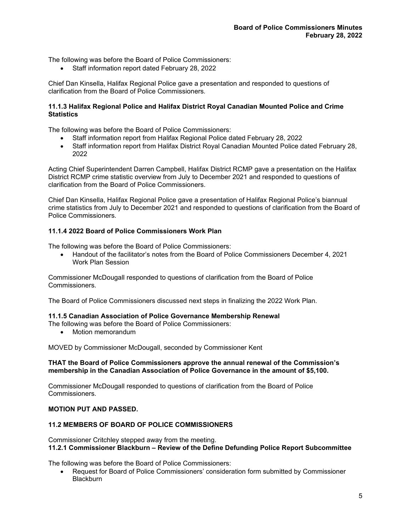The following was before the Board of Police Commissioners:

• Staff information report dated February 28, 2022

Chief Dan Kinsella, Halifax Regional Police gave a presentation and responded to questions of clarification from the Board of Police Commissioners*.*

# **11.1.3 Halifax Regional Police and Halifax District Royal Canadian Mounted Police and Crime Statistics**

The following was before the Board of Police Commissioners:

- Staff information report from Halifax Regional Police dated February 28, 2022
- Staff information report from Halifax District Royal Canadian Mounted Police dated February 28, 2022

Acting Chief Superintendent Darren Campbell, Halifax District RCMP gave a presentation on the Halifax District RCMP crime statistic overview from July to December 2021 and responded to questions of clarification from the Board of Police Commissioners.

Chief Dan Kinsella, Halifax Regional Police gave a presentation of Halifax Regional Police's biannual crime statistics from July to December 2021 and responded to questions of clarification from the Board of Police Commissioners*.*

# **11.1.4 2022 Board of Police Commissioners Work Plan**

The following was before the Board of Police Commissioners:

• Handout of the facilitator's notes from the Board of Police Commissioners December 4, 2021 Work Plan Session

Commissioner McDougall responded to questions of clarification from the Board of Police Commissioners*.*

The Board of Police Commissioners discussed next steps in finalizing the 2022 Work Plan.

#### **11.1.5 Canadian Association of Police Governance Membership Renewal**

The following was before the Board of Police Commissioners:

• Motion memorandum

MOVED by Commissioner McDougall, seconded by Commissioner Kent

# **THAT the Board of Police Commissioners approve the annual renewal of the Commission's membership in the Canadian Association of Police Governance in the amount of \$5,100.**

Commissioner McDougall responded to questions of clarification from the Board of Police Commissioners*.*

# **MOTION PUT AND PASSED.**

# **11.2 MEMBERS OF BOARD OF POLICE COMMISSIONERS**

Commissioner Critchley stepped away from the meeting. **11.2.1 Commissioner Blackburn – Review of the Define Defunding Police Report Subcommittee**

The following was before the Board of Police Commissioners:

• Request for Board of Police Commissioners' consideration form submitted by Commissioner Blackburn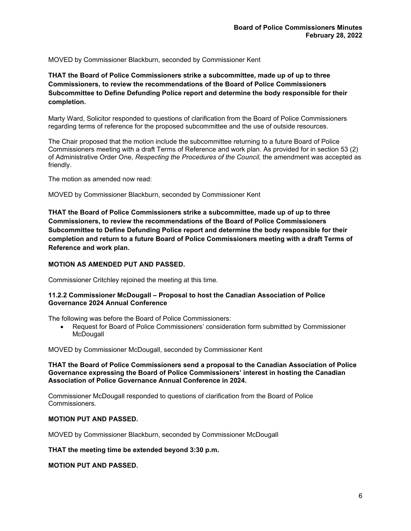MOVED by Commissioner Blackburn, seconded by Commissioner Kent

**THAT the Board of Police Commissioners strike a subcommittee, made up of up to three Commissioners, to review the recommendations of the Board of Police Commissioners Subcommittee to Define Defunding Police report and determine the body responsible for their completion.**

Marty Ward, Solicitor responded to questions of clarification from the Board of Police Commissioners regarding terms of reference for the proposed subcommittee and the use of outside resources.

The Chair proposed that the motion include the subcommittee returning to a future Board of Police Commissioners meeting with a draft Terms of Reference and work plan. As provided for in section 53 (2) of Administrative Order One, *Respecting the Procedures of the Council,* the amendment was accepted as friendly.

The motion as amended now read:

MOVED by Commissioner Blackburn, seconded by Commissioner Kent

**THAT the Board of Police Commissioners strike a subcommittee, made up of up to three Commissioners, to review the recommendations of the Board of Police Commissioners Subcommittee to Define Defunding Police report and determine the body responsible for their completion and return to a future Board of Police Commissioners meeting with a draft Terms of Reference and work plan.**

# **MOTION AS AMENDED PUT AND PASSED.**

Commissioner Critchley rejoined the meeting at this time.

# **11.2.2 Commissioner McDougall – Proposal to host the Canadian Association of Police Governance 2024 Annual Conference**

The following was before the Board of Police Commissioners:

• Request for Board of Police Commissioners' consideration form submitted by Commissioner **McDougall** 

MOVED by Commissioner McDougall, seconded by Commissioner Kent

# **THAT the Board of Police Commissioners send a proposal to the Canadian Association of Police Governance expressing the Board of Police Commissioners' interest in hosting the Canadian Association of Police Governance Annual Conference in 2024.**

Commissioner McDougall responded to questions of clarification from the Board of Police Commissioners*.*

# **MOTION PUT AND PASSED.**

MOVED by Commissioner Blackburn, seconded by Commissioner McDougall

**THAT the meeting time be extended beyond 3:30 p.m.**

**MOTION PUT AND PASSED.**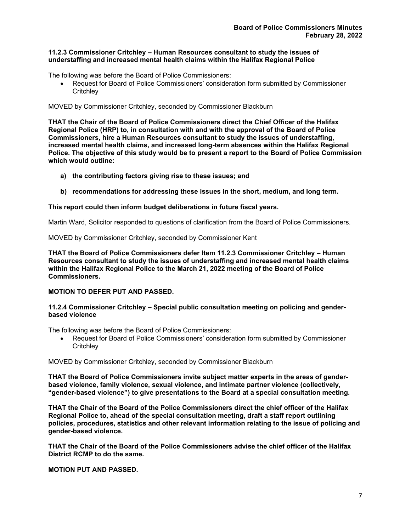# **11.2.3 Commissioner Critchley – Human Resources consultant to study the issues of understaffing and increased mental health claims within the Halifax Regional Police**

The following was before the Board of Police Commissioners:

• Request for Board of Police Commissioners' consideration form submitted by Commissioner **Critchley** 

# MOVED by Commissioner Critchley, seconded by Commissioner Blackburn

**THAT the Chair of the Board of Police Commissioners direct the Chief Officer of the Halifax Regional Police (HRP) to, in consultation with and with the approval of the Board of Police Commissioners, hire a Human Resources consultant to study the issues of understaffing, increased mental health claims, and increased long-term absences within the Halifax Regional Police. The objective of this study would be to present a report to the Board of Police Commission which would outline:** 

- **a) the contributing factors giving rise to these issues; and**
- **b) recommendations for addressing these issues in the short, medium, and long term.**

# **This report could then inform budget deliberations in future fiscal years.**

Martin Ward, Solicitor responded to questions of clarification from the Board of Police Commissioners*.*

MOVED by Commissioner Critchley, seconded by Commissioner Kent

**THAT the Board of Police Commissioners defer Item 11.2.3 Commissioner Critchley – Human Resources consultant to study the issues of understaffing and increased mental health claims within the Halifax Regional Police to the March 21, 2022 meeting of the Board of Police Commissioners.**

# **MOTION TO DEFER PUT AND PASSED.**

# **11.2.4 Commissioner Critchley – Special public consultation meeting on policing and genderbased violence**

The following was before the Board of Police Commissioners:

• Request for Board of Police Commissioners' consideration form submitted by Commissioner **Critchley** 

# MOVED by Commissioner Critchley, seconded by Commissioner Blackburn

**THAT the Board of Police Commissioners invite subject matter experts in the areas of genderbased violence, family violence, sexual violence, and intimate partner violence (collectively, "gender-based violence") to give presentations to the Board at a special consultation meeting.** 

**THAT the Chair of the Board of the Police Commissioners direct the chief officer of the Halifax Regional Police to, ahead of the special consultation meeting, draft a staff report outlining policies, procedures, statistics and other relevant information relating to the issue of policing and gender-based violence.**

**THAT the Chair of the Board of the Police Commissioners advise the chief officer of the Halifax District RCMP to do the same.**

**MOTION PUT AND PASSED.**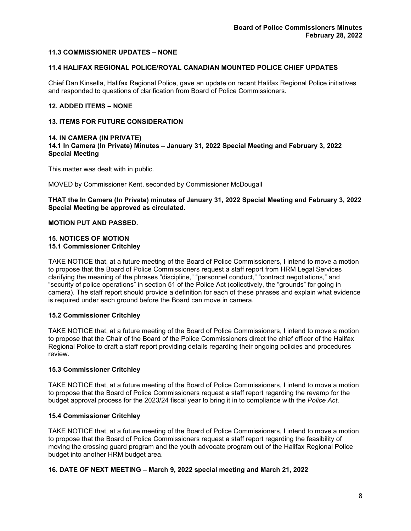# **11.3 COMMISSIONER UPDATES – NONE**

# **11.4 HALIFAX REGIONAL POLICE/ROYAL CANADIAN MOUNTED POLICE CHIEF UPDATES**

Chief Dan Kinsella, Halifax Regional Police, gave an update on recent Halifax Regional Police initiatives and responded to questions of clarification from Board of Police Commissioners.

# **12. ADDED ITEMS – NONE**

# **13. ITEMS FOR FUTURE CONSIDERATION**

#### **14. IN CAMERA (IN PRIVATE) 14.1 In Camera (In Private) Minutes – January 31, 2022 Special Meeting and February 3, 2022 Special Meeting**

This matter was dealt with in public.

MOVED by Commissioner Kent, seconded by Commissioner McDougall

**THAT the In Camera (In Private) minutes of January 31, 2022 Special Meeting and February 3, 2022 Special Meeting be approved as circulated.**

# **MOTION PUT AND PASSED.**

### **15. NOTICES OF MOTION 15.1 Commissioner Critchley**

TAKE NOTICE that, at a future meeting of the Board of Police Commissioners, I intend to move a motion to propose that the Board of Police Commissioners request a staff report from HRM Legal Services clarifying the meaning of the phrases "discipline," "personnel conduct," "contract negotiations," and "security of police operations" in section 51 of the Police Act (collectively, the "grounds" for going in camera). The staff report should provide a definition for each of these phrases and explain what evidence is required under each ground before the Board can move in camera.

# **15.2 Commissioner Critchley**

TAKE NOTICE that, at a future meeting of the Board of Police Commissioners, I intend to move a motion to propose that the Chair of the Board of the Police Commissioners direct the chief officer of the Halifax Regional Police to draft a staff report providing details regarding their ongoing policies and procedures review.

# **15.3 Commissioner Critchley**

TAKE NOTICE that, at a future meeting of the Board of Police Commissioners, I intend to move a motion to propose that the Board of Police Commissioners request a staff report regarding the revamp for the budget approval process for the 2023/24 fiscal year to bring it in to compliance with the *Police Act*.

# **15.4 Commissioner Critchley**

TAKE NOTICE that, at a future meeting of the Board of Police Commissioners, I intend to move a motion to propose that the Board of Police Commissioners request a staff report regarding the feasibility of moving the crossing guard program and the youth advocate program out of the Halifax Regional Police budget into another HRM budget area.

# **16. DATE OF NEXT MEETING – March 9, 2022 special meeting and March 21, 2022**